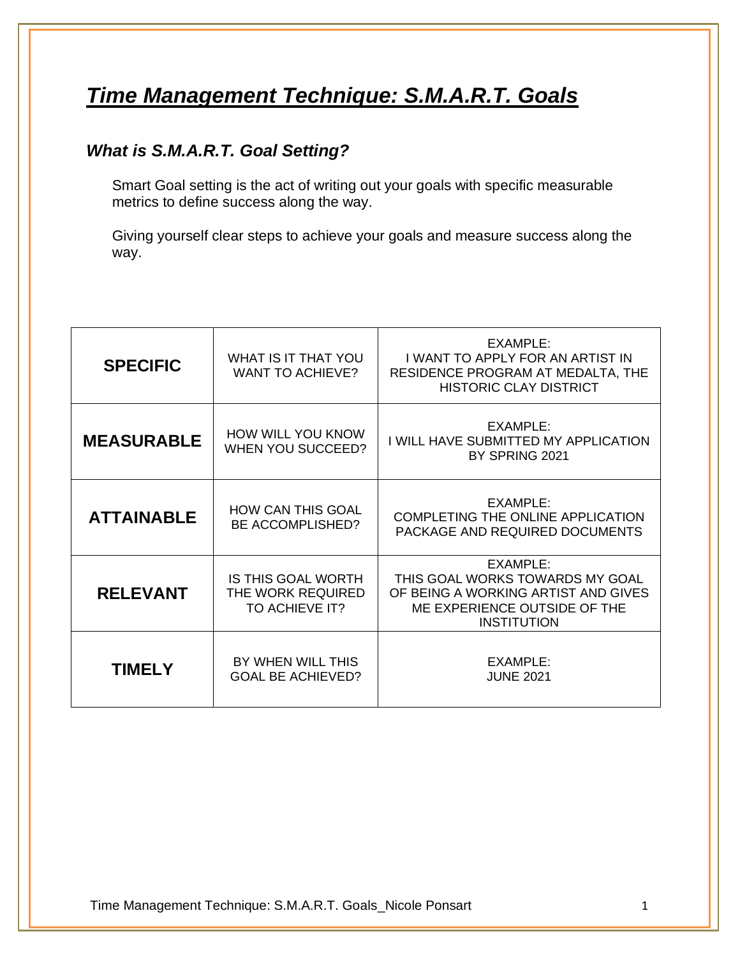# *Time Management Technique: S.M.A.R.T. Goals*

## *What is S.M.A.R.T. Goal Setting?*

Smart Goal setting is the act of writing out your goals with specific measurable metrics to define success along the way.

Giving yourself clear steps to achieve your goals and measure success along the way.

| <b>SPECIFIC</b>   | WHAT IS IT THAT YOU<br><b>WANT TO ACHIEVE?</b>                   | EXAMPLE:<br>I WANT TO APPLY FOR AN ARTIST IN<br>RESIDENCE PROGRAM AT MEDALTA, THE<br><b>HISTORIC CLAY DISTRICT</b>                       |
|-------------------|------------------------------------------------------------------|------------------------------------------------------------------------------------------------------------------------------------------|
| <b>MEASURABLE</b> | <b>HOW WILL YOU KNOW</b><br><b>WHEN YOU SUCCEED?</b>             | EXAMPLE:<br>I WILL HAVE SUBMITTED MY APPLICATION<br>BY SPRING 2021                                                                       |
| <b>ATTAINABLE</b> | <b>HOW CAN THIS GOAL</b><br>BE ACCOMPLISHED?                     | EXAMPLE:<br><b>COMPLETING THE ONLINE APPLICATION</b><br>PACKAGE AND REQUIRED DOCUMENTS                                                   |
| <b>RELEVANT</b>   | <b>IS THIS GOAL WORTH</b><br>THE WORK REQUIRED<br>TO ACHIEVE IT? | EXAMPLE:<br>THIS GOAL WORKS TOWARDS MY GOAL<br>OF BEING A WORKING ARTIST AND GIVES<br>ME EXPERIENCE OUTSIDE OF THE<br><b>INSTITUTION</b> |
| <b>TIMELY</b>     | BY WHEN WILL THIS<br><b>GOAL BE ACHIEVED?</b>                    | EXAMPLE:<br><b>JUNE 2021</b>                                                                                                             |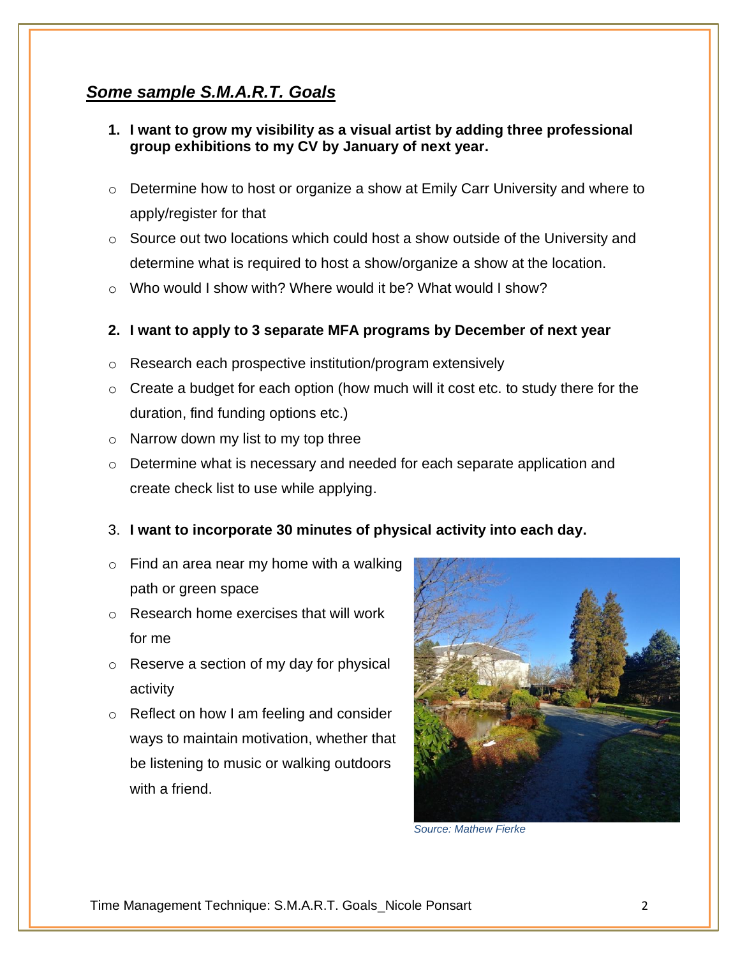## *Some sample S.M.A.R.T. Goals*

- **1. I want to grow my visibility as a visual artist by adding three professional group exhibitions to my CV by January of next year.**
- $\circ$  Determine how to host or organize a show at Emily Carr University and where to apply/register for that
- $\circ$  Source out two locations which could host a show outside of the University and determine what is required to host a show/organize a show at the location.
- $\circ$  Who would I show with? Where would it be? What would I show?

#### **2. I want to apply to 3 separate MFA programs by December of next year**

- o Research each prospective institution/program extensively
- $\circ$  Create a budget for each option (how much will it cost etc. to study there for the duration, find funding options etc.)
- $\circ$  Narrow down my list to my top three
- o Determine what is necessary and needed for each separate application and create check list to use while applying.

### 3. **I want to incorporate 30 minutes of physical activity into each day.**

- $\circ$  Find an area near my home with a walking path or green space
- o Research home exercises that will work for me
- o Reserve a section of my day for physical activity
- o Reflect on how I am feeling and consider ways to maintain motivation, whether that be listening to music or walking outdoors with a friend.



*Source: Mathew Fierke*